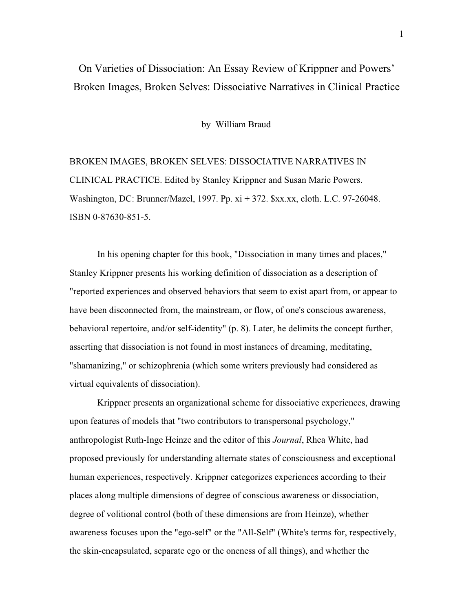# On Varieties of Dissociation: An Essay Review of Krippner and Powers' Broken Images, Broken Selves: Dissociative Narratives in Clinical Practice

by William Braud

BROKEN IMAGES, BROKEN SELVES: DISSOCIATIVE NARRATIVES IN CLINICAL PRACTICE. Edited by Stanley Krippner and Susan Marie Powers. Washington, DC: Brunner/Mazel, 1997. Pp. xi + 372. \$xx.xx, cloth. L.C. 97-26048. ISBN 0-87630-851-5.

In his opening chapter for this book, "Dissociation in many times and places," Stanley Krippner presents his working definition of dissociation as a description of "reported experiences and observed behaviors that seem to exist apart from, or appear to have been disconnected from, the mainstream, or flow, of one's conscious awareness, behavioral repertoire, and/or self-identity" (p. 8). Later, he delimits the concept further, asserting that dissociation is not found in most instances of dreaming, meditating, "shamanizing," or schizophrenia (which some writers previously had considered as virtual equivalents of dissociation).

Krippner presents an organizational scheme for dissociative experiences, drawing upon features of models that "two contributors to transpersonal psychology," anthropologist Ruth-Inge Heinze and the editor of this *Journal*, Rhea White, had proposed previously for understanding alternate states of consciousness and exceptional human experiences, respectively. Krippner categorizes experiences according to their places along multiple dimensions of degree of conscious awareness or dissociation, degree of volitional control (both of these dimensions are from Heinze), whether awareness focuses upon the "ego-self" or the "All-Self" (White's terms for, respectively, the skin-encapsulated, separate ego or the oneness of all things), and whether the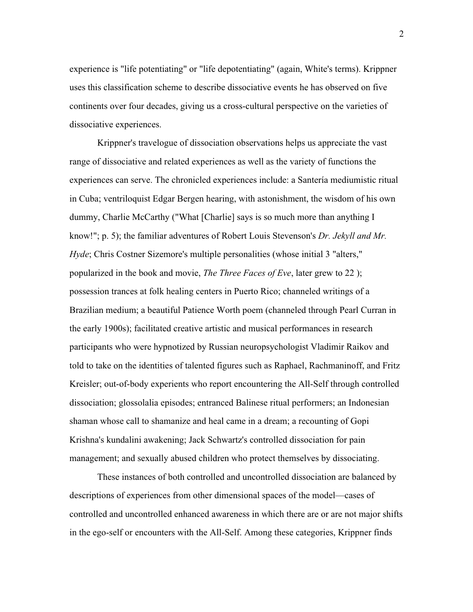experience is "life potentiating" or "life depotentiating" (again, White's terms). Krippner uses this classification scheme to describe dissociative events he has observed on five continents over four decades, giving us a cross-cultural perspective on the varieties of dissociative experiences.

Krippner's travelogue of dissociation observations helps us appreciate the vast range of dissociative and related experiences as well as the variety of functions the experiences can serve. The chronicled experiences include: a Santería mediumistic ritual in Cuba; ventriloquist Edgar Bergen hearing, with astonishment, the wisdom of his own dummy, Charlie McCarthy ("What [Charlie] says is so much more than anything I know!"; p. 5); the familiar adventures of Robert Louis Stevenson's *Dr. Jekyll and Mr. Hyde*; Chris Costner Sizemore's multiple personalities (whose initial 3 "alters," popularized in the book and movie, *The Three Faces of Eve*, later grew to 22 ); possession trances at folk healing centers in Puerto Rico; channeled writings of a Brazilian medium; a beautiful Patience Worth poem (channeled through Pearl Curran in the early 1900s); facilitated creative artistic and musical performances in research participants who were hypnotized by Russian neuropsychologist Vladimir Raikov and told to take on the identities of talented figures such as Raphael, Rachmaninoff, and Fritz Kreisler; out-of-body experients who report encountering the All-Self through controlled dissociation; glossolalia episodes; entranced Balinese ritual performers; an Indonesian shaman whose call to shamanize and heal came in a dream; a recounting of Gopi Krishna's kundalini awakening; Jack Schwartz's controlled dissociation for pain management; and sexually abused children who protect themselves by dissociating.

These instances of both controlled and uncontrolled dissociation are balanced by descriptions of experiences from other dimensional spaces of the model—cases of controlled and uncontrolled enhanced awareness in which there are or are not major shifts in the ego-self or encounters with the All-Self. Among these categories, Krippner finds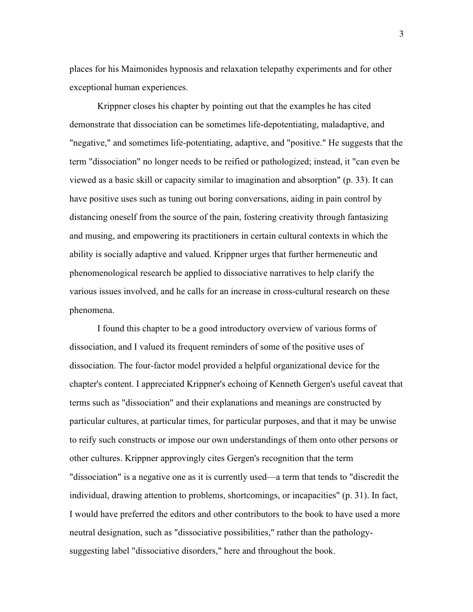places for his Maimonides hypnosis and relaxation telepathy experiments and for other exceptional human experiences.

Krippner closes his chapter by pointing out that the examples he has cited demonstrate that dissociation can be sometimes life-depotentiating, maladaptive, and "negative," and sometimes life-potentiating, adaptive, and "positive." He suggests that the term "dissociation" no longer needs to be reified or pathologized; instead, it "can even be viewed as a basic skill or capacity similar to imagination and absorption" (p. 33). It can have positive uses such as tuning out boring conversations, aiding in pain control by distancing oneself from the source of the pain, fostering creativity through fantasizing and musing, and empowering its practitioners in certain cultural contexts in which the ability is socially adaptive and valued. Krippner urges that further hermeneutic and phenomenological research be applied to dissociative narratives to help clarify the various issues involved, and he calls for an increase in cross-cultural research on these phenomena.

I found this chapter to be a good introductory overview of various forms of dissociation, and I valued its frequent reminders of some of the positive uses of dissociation. The four-factor model provided a helpful organizational device for the chapter's content. I appreciated Krippner's echoing of Kenneth Gergen's useful caveat that terms such as "dissociation" and their explanations and meanings are constructed by particular cultures, at particular times, for particular purposes, and that it may be unwise to reify such constructs or impose our own understandings of them onto other persons or other cultures. Krippner approvingly cites Gergen's recognition that the term "dissociation" is a negative one as it is currently used—a term that tends to "discredit the individual, drawing attention to problems, shortcomings, or incapacities" (p. 31). In fact, I would have preferred the editors and other contributors to the book to have used a more neutral designation, such as "dissociative possibilities," rather than the pathologysuggesting label "dissociative disorders," here and throughout the book.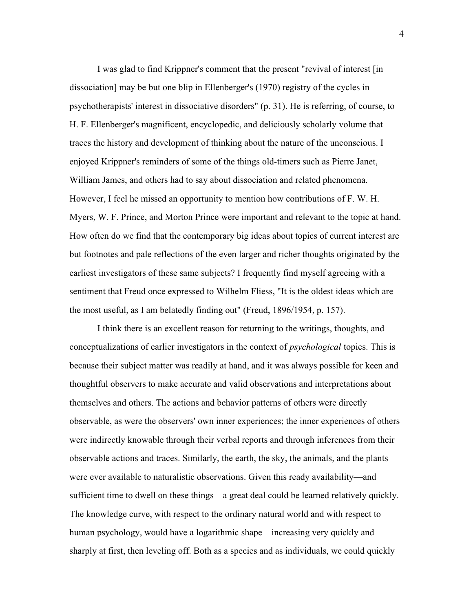I was glad to find Krippner's comment that the present "revival of interest [in dissociation] may be but one blip in Ellenberger's (1970) registry of the cycles in psychotherapists' interest in dissociative disorders" (p. 31). He is referring, of course, to H. F. Ellenberger's magnificent, encyclopedic, and deliciously scholarly volume that traces the history and development of thinking about the nature of the unconscious. I enjoyed Krippner's reminders of some of the things old-timers such as Pierre Janet, William James, and others had to say about dissociation and related phenomena. However, I feel he missed an opportunity to mention how contributions of F. W. H. Myers, W. F. Prince, and Morton Prince were important and relevant to the topic at hand. How often do we find that the contemporary big ideas about topics of current interest are but footnotes and pale reflections of the even larger and richer thoughts originated by the earliest investigators of these same subjects? I frequently find myself agreeing with a sentiment that Freud once expressed to Wilhelm Fliess, "It is the oldest ideas which are the most useful, as I am belatedly finding out" (Freud, 1896/1954, p. 157).

I think there is an excellent reason for returning to the writings, thoughts, and conceptualizations of earlier investigators in the context of *psychological* topics. This is because their subject matter was readily at hand, and it was always possible for keen and thoughtful observers to make accurate and valid observations and interpretations about themselves and others. The actions and behavior patterns of others were directly observable, as were the observers' own inner experiences; the inner experiences of others were indirectly knowable through their verbal reports and through inferences from their observable actions and traces. Similarly, the earth, the sky, the animals, and the plants were ever available to naturalistic observations. Given this ready availability—and sufficient time to dwell on these things—a great deal could be learned relatively quickly. The knowledge curve, with respect to the ordinary natural world and with respect to human psychology, would have a logarithmic shape—increasing very quickly and sharply at first, then leveling off. Both as a species and as individuals, we could quickly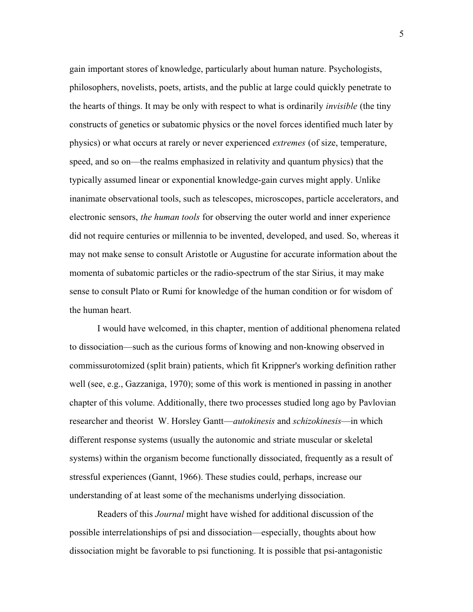gain important stores of knowledge, particularly about human nature. Psychologists, philosophers, novelists, poets, artists, and the public at large could quickly penetrate to the hearts of things. It may be only with respect to what is ordinarily *invisible* (the tiny constructs of genetics or subatomic physics or the novel forces identified much later by physics) or what occurs at rarely or never experienced *extremes* (of size, temperature, speed, and so on—the realms emphasized in relativity and quantum physics) that the typically assumed linear or exponential knowledge-gain curves might apply. Unlike inanimate observational tools, such as telescopes, microscopes, particle accelerators, and electronic sensors, *the human tools* for observing the outer world and inner experience did not require centuries or millennia to be invented, developed, and used. So, whereas it may not make sense to consult Aristotle or Augustine for accurate information about the momenta of subatomic particles or the radio-spectrum of the star Sirius, it may make sense to consult Plato or Rumi for knowledge of the human condition or for wisdom of the human heart.

I would have welcomed, in this chapter, mention of additional phenomena related to dissociation—such as the curious forms of knowing and non-knowing observed in commissurotomized (split brain) patients, which fit Krippner's working definition rather well (see, e.g., Gazzaniga, 1970); some of this work is mentioned in passing in another chapter of this volume. Additionally, there two processes studied long ago by Pavlovian researcher and theorist W. Horsley Gantt—*autokinesis* and *schizokinesis*—in which different response systems (usually the autonomic and striate muscular or skeletal systems) within the organism become functionally dissociated, frequently as a result of stressful experiences (Gannt, 1966). These studies could, perhaps, increase our understanding of at least some of the mechanisms underlying dissociation.

Readers of this *Journal* might have wished for additional discussion of the possible interrelationships of psi and dissociation—especially, thoughts about how dissociation might be favorable to psi functioning. It is possible that psi-antagonistic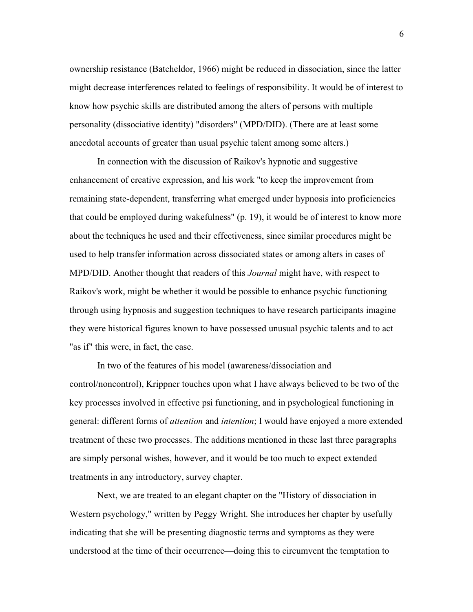ownership resistance (Batcheldor, 1966) might be reduced in dissociation, since the latter might decrease interferences related to feelings of responsibility. It would be of interest to know how psychic skills are distributed among the alters of persons with multiple personality (dissociative identity) "disorders" (MPD/DID). (There are at least some anecdotal accounts of greater than usual psychic talent among some alters.)

In connection with the discussion of Raikov's hypnotic and suggestive enhancement of creative expression, and his work "to keep the improvement from remaining state-dependent, transferring what emerged under hypnosis into proficiencies that could be employed during wakefulness" (p. 19), it would be of interest to know more about the techniques he used and their effectiveness, since similar procedures might be used to help transfer information across dissociated states or among alters in cases of MPD/DID. Another thought that readers of this *Journal* might have, with respect to Raikov's work, might be whether it would be possible to enhance psychic functioning through using hypnosis and suggestion techniques to have research participants imagine they were historical figures known to have possessed unusual psychic talents and to act "as if" this were, in fact, the case.

In two of the features of his model (awareness/dissociation and control/noncontrol), Krippner touches upon what I have always believed to be two of the key processes involved in effective psi functioning, and in psychological functioning in general: different forms of *attention* and *intention*; I would have enjoyed a more extended treatment of these two processes. The additions mentioned in these last three paragraphs are simply personal wishes, however, and it would be too much to expect extended treatments in any introductory, survey chapter.

Next, we are treated to an elegant chapter on the "History of dissociation in Western psychology," written by Peggy Wright. She introduces her chapter by usefully indicating that she will be presenting diagnostic terms and symptoms as they were understood at the time of their occurrence—doing this to circumvent the temptation to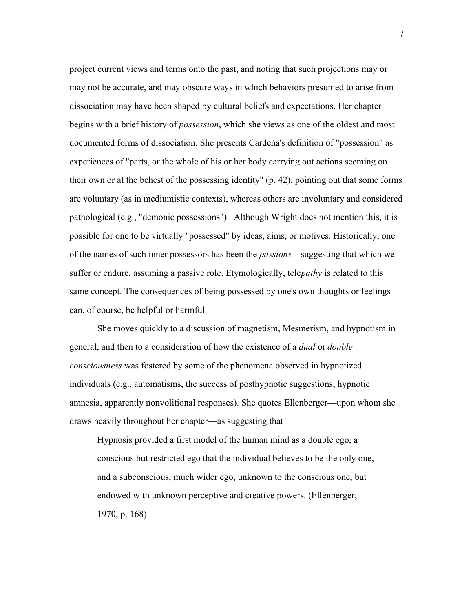project current views and terms onto the past, and noting that such projections may or may not be accurate, and may obscure ways in which behaviors presumed to arise from dissociation may have been shaped by cultural beliefs and expectations. Her chapter begins with a brief history of *possession*, which she views as one of the oldest and most documented forms of dissociation. She presents Cardeña's definition of "possession" as experiences of "parts, or the whole of his or her body carrying out actions seeming on their own or at the behest of the possessing identity" (p. 42), pointing out that some forms are voluntary (as in mediumistic contexts), whereas others are involuntary and considered pathological (e.g., "demonic possessions"). Although Wright does not mention this, it is possible for one to be virtually "possessed" by ideas, aims, or motives. Historically, one of the names of such inner possessors has been the *passions*—suggesting that which we suffer or endure, assuming a passive role. Etymologically, tele*pathy* is related to this same concept. The consequences of being possessed by one's own thoughts or feelings can, of course, be helpful or harmful.

She moves quickly to a discussion of magnetism, Mesmerism, and hypnotism in general, and then to a consideration of how the existence of a *dual* or *double consciousness* was fostered by some of the phenomena observed in hypnotized individuals (e.g., automatisms, the success of posthypnotic suggestions, hypnotic amnesia, apparently nonvolitional responses). She quotes Ellenberger—upon whom she draws heavily throughout her chapter—as suggesting that

Hypnosis provided a first model of the human mind as a double ego, a conscious but restricted ego that the individual believes to be the only one, and a subconscious, much wider ego, unknown to the conscious one, but endowed with unknown perceptive and creative powers. (Ellenberger, 1970, p. 168)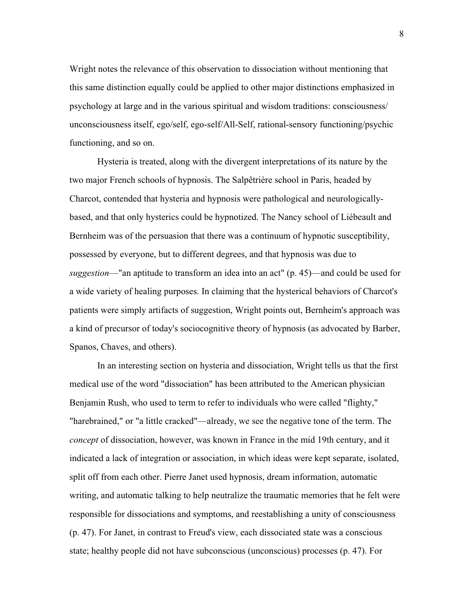Wright notes the relevance of this observation to dissociation without mentioning that this same distinction equally could be applied to other major distinctions emphasized in psychology at large and in the various spiritual and wisdom traditions: consciousness/ unconsciousness itself, ego/self, ego-self/All-Self, rational-sensory functioning/psychic functioning, and so on.

Hysteria is treated, along with the divergent interpretations of its nature by the two major French schools of hypnosis. The Salpêtrière school in Paris, headed by Charcot, contended that hysteria and hypnosis were pathological and neurologicallybased, and that only hysterics could be hypnotized. The Nancy school of Liébeault and Bernheim was of the persuasion that there was a continuum of hypnotic susceptibility, possessed by everyone, but to different degrees, and that hypnosis was due to *suggestion*—"an aptitude to transform an idea into an act" (p. 45)—and could be used for a wide variety of healing purposes. In claiming that the hysterical behaviors of Charcot's patients were simply artifacts of suggestion, Wright points out, Bernheim's approach was a kind of precursor of today's sociocognitive theory of hypnosis (as advocated by Barber, Spanos, Chaves, and others).

In an interesting section on hysteria and dissociation, Wright tells us that the first medical use of the word "dissociation" has been attributed to the American physician Benjamin Rush, who used to term to refer to individuals who were called "flighty," "harebrained," or "a little cracked"—already, we see the negative tone of the term. The *concept* of dissociation, however, was known in France in the mid 19th century, and it indicated a lack of integration or association, in which ideas were kept separate, isolated, split off from each other. Pierre Janet used hypnosis, dream information, automatic writing, and automatic talking to help neutralize the traumatic memories that he felt were responsible for dissociations and symptoms, and reestablishing a unity of consciousness (p. 47). For Janet, in contrast to Freud's view, each dissociated state was a conscious state; healthy people did not have subconscious (unconscious) processes (p. 47). For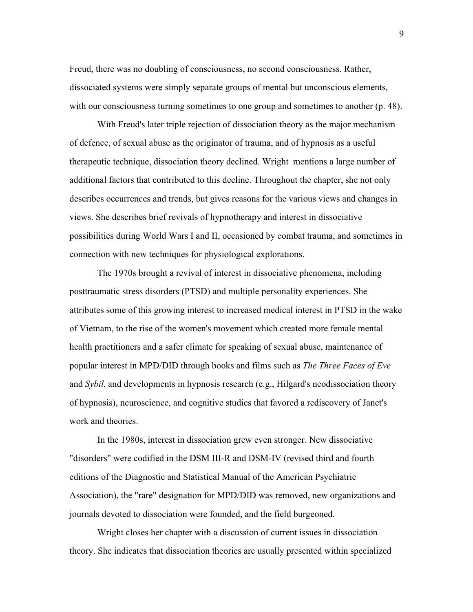Freud, there was no doubling of consciousness, no second consciousness. Rather, dissociated systems were simply separate groups of mental but unconscious elements, with our consciousness turning sometimes to one group and sometimes to another (p. 48).

With Freud's later triple rejection of dissociation theory as the major mechanism of defence, of sexual abuse as the originator of trauma, and of hypnosis as a useful therapeutic technique, dissociation theory declined. Wright mentions a large number of additional factors that contributed to this decline. Throughout the chapter, she not only describes occurrences and trends, but gives reasons for the various views and changes in views. She describes brief revivals of hypnotherapy and interest in dissociative possibilities during World Wars I and II, occasioned by combat trauma, and sometimes in connection with new techniques for physiological explorations.

The 1970s brought a revival of interest in dissociative phenomena, including posttraumatic stress disorders (PTSD) and multiple personality experiences. She attributes some of this growing interest to increased medical interest in PTSD in the wake of Vietnam, to the rise of the women's movement which created more female mental health practitioners and a safer climate for speaking of sexual abuse, maintenance of popular interest in MPD/DID through books and films such as *The Three Faces of Eve* and *Sybil*, and developments in hypnosis research (e.g., Hilgard's neodissociation theory of hypnosis), neuroscience, and cognitive studies that favored a rediscovery of Janet's work and theories.

In the 1980s, interest in dissociation grew even stronger. New dissociative "disorders" were codified in the DSM III-R and DSM-IV (revised third and fourth editions of the Diagnostic and Statistical Manual of the American Psychiatric Association), the "rare" designation for MPD/DID was removed, new organizations and journals devoted to dissociation were founded, and the field burgeoned.

Wright closes her chapter with a discussion of current issues in dissociation theory. She indicates that dissociation theories are usually presented within specialized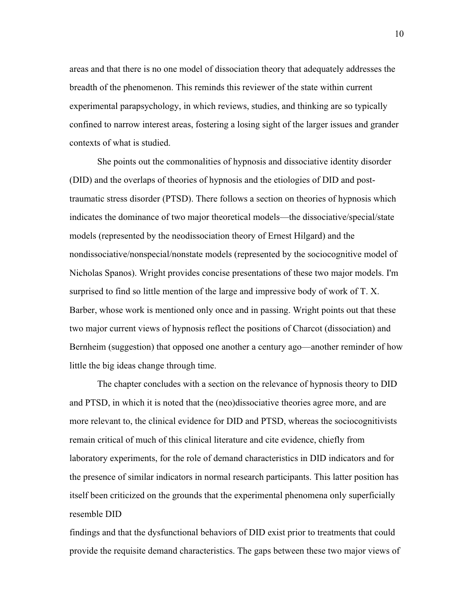areas and that there is no one model of dissociation theory that adequately addresses the breadth of the phenomenon. This reminds this reviewer of the state within current experimental parapsychology, in which reviews, studies, and thinking are so typically confined to narrow interest areas, fostering a losing sight of the larger issues and grander contexts of what is studied.

She points out the commonalities of hypnosis and dissociative identity disorder (DID) and the overlaps of theories of hypnosis and the etiologies of DID and posttraumatic stress disorder (PTSD). There follows a section on theories of hypnosis which indicates the dominance of two major theoretical models—the dissociative/special/state models (represented by the neodissociation theory of Ernest Hilgard) and the nondissociative/nonspecial/nonstate models (represented by the sociocognitive model of Nicholas Spanos). Wright provides concise presentations of these two major models. I'm surprised to find so little mention of the large and impressive body of work of T. X. Barber, whose work is mentioned only once and in passing. Wright points out that these two major current views of hypnosis reflect the positions of Charcot (dissociation) and Bernheim (suggestion) that opposed one another a century ago—another reminder of how little the big ideas change through time.

The chapter concludes with a section on the relevance of hypnosis theory to DID and PTSD, in which it is noted that the (neo)dissociative theories agree more, and are more relevant to, the clinical evidence for DID and PTSD, whereas the sociocognitivists remain critical of much of this clinical literature and cite evidence, chiefly from laboratory experiments, for the role of demand characteristics in DID indicators and for the presence of similar indicators in normal research participants. This latter position has itself been criticized on the grounds that the experimental phenomena only superficially resemble DID

findings and that the dysfunctional behaviors of DID exist prior to treatments that could provide the requisite demand characteristics. The gaps between these two major views of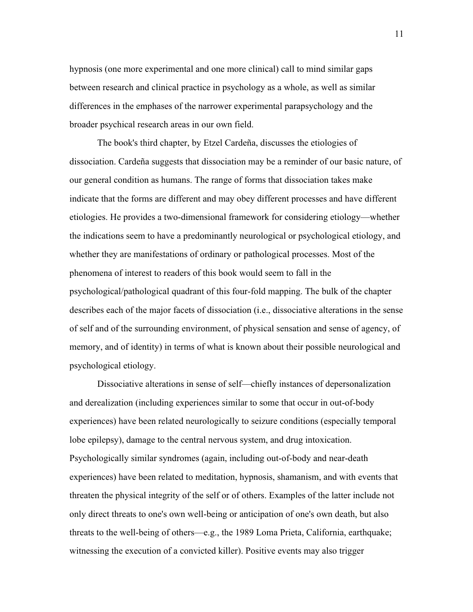hypnosis (one more experimental and one more clinical) call to mind similar gaps between research and clinical practice in psychology as a whole, as well as similar differences in the emphases of the narrower experimental parapsychology and the broader psychical research areas in our own field.

The book's third chapter, by Etzel Cardeña, discusses the etiologies of dissociation. Cardeña suggests that dissociation may be a reminder of our basic nature, of our general condition as humans. The range of forms that dissociation takes make indicate that the forms are different and may obey different processes and have different etiologies. He provides a two-dimensional framework for considering etiology—whether the indications seem to have a predominantly neurological or psychological etiology, and whether they are manifestations of ordinary or pathological processes. Most of the phenomena of interest to readers of this book would seem to fall in the psychological/pathological quadrant of this four-fold mapping. The bulk of the chapter describes each of the major facets of dissociation (i.e., dissociative alterations in the sense of self and of the surrounding environment, of physical sensation and sense of agency, of memory, and of identity) in terms of what is known about their possible neurological and psychological etiology.

Dissociative alterations in sense of self—chiefly instances of depersonalization and derealization (including experiences similar to some that occur in out-of-body experiences) have been related neurologically to seizure conditions (especially temporal lobe epilepsy), damage to the central nervous system, and drug intoxication. Psychologically similar syndromes (again, including out-of-body and near-death experiences) have been related to meditation, hypnosis, shamanism, and with events that threaten the physical integrity of the self or of others. Examples of the latter include not only direct threats to one's own well-being or anticipation of one's own death, but also threats to the well-being of others—e.g., the 1989 Loma Prieta, California, earthquake; witnessing the execution of a convicted killer). Positive events may also trigger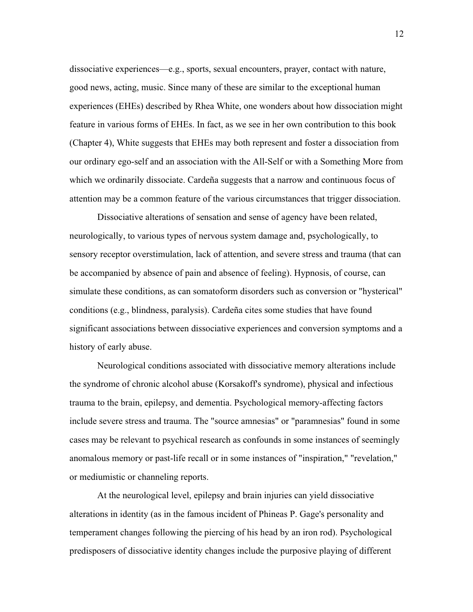dissociative experiences—e.g., sports, sexual encounters, prayer, contact with nature, good news, acting, music. Since many of these are similar to the exceptional human experiences (EHEs) described by Rhea White, one wonders about how dissociation might feature in various forms of EHEs. In fact, as we see in her own contribution to this book (Chapter 4), White suggests that EHEs may both represent and foster a dissociation from our ordinary ego-self and an association with the All-Self or with a Something More from which we ordinarily dissociate. Cardeña suggests that a narrow and continuous focus of attention may be a common feature of the various circumstances that trigger dissociation.

Dissociative alterations of sensation and sense of agency have been related, neurologically, to various types of nervous system damage and, psychologically, to sensory receptor overstimulation, lack of attention, and severe stress and trauma (that can be accompanied by absence of pain and absence of feeling). Hypnosis, of course, can simulate these conditions, as can somatoform disorders such as conversion or "hysterical" conditions (e.g., blindness, paralysis). Cardeña cites some studies that have found significant associations between dissociative experiences and conversion symptoms and a history of early abuse.

Neurological conditions associated with dissociative memory alterations include the syndrome of chronic alcohol abuse (Korsakoff's syndrome), physical and infectious trauma to the brain, epilepsy, and dementia. Psychological memory-affecting factors include severe stress and trauma. The "source amnesias" or "paramnesias" found in some cases may be relevant to psychical research as confounds in some instances of seemingly anomalous memory or past-life recall or in some instances of "inspiration," "revelation," or mediumistic or channeling reports.

At the neurological level, epilepsy and brain injuries can yield dissociative alterations in identity (as in the famous incident of Phineas P. Gage's personality and temperament changes following the piercing of his head by an iron rod). Psychological predisposers of dissociative identity changes include the purposive playing of different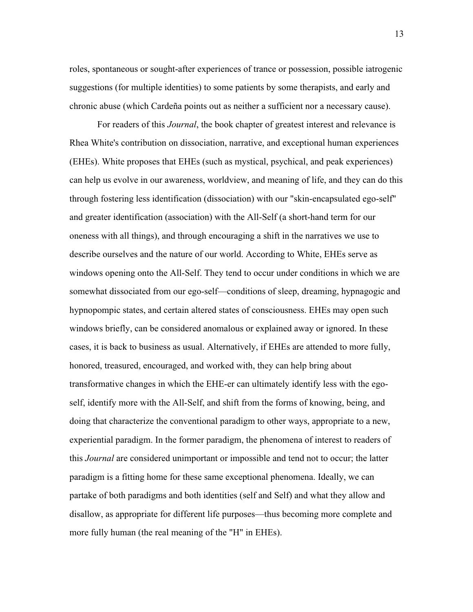roles, spontaneous or sought-after experiences of trance or possession, possible iatrogenic suggestions (for multiple identities) to some patients by some therapists, and early and chronic abuse (which Cardeña points out as neither a sufficient nor a necessary cause).

For readers of this *Journal*, the book chapter of greatest interest and relevance is Rhea White's contribution on dissociation, narrative, and exceptional human experiences (EHEs). White proposes that EHEs (such as mystical, psychical, and peak experiences) can help us evolve in our awareness, worldview, and meaning of life, and they can do this through fostering less identification (dissociation) with our "skin-encapsulated ego-self" and greater identification (association) with the All-Self (a short-hand term for our oneness with all things), and through encouraging a shift in the narratives we use to describe ourselves and the nature of our world. According to White, EHEs serve as windows opening onto the All-Self. They tend to occur under conditions in which we are somewhat dissociated from our ego-self—conditions of sleep, dreaming, hypnagogic and hypnopompic states, and certain altered states of consciousness. EHEs may open such windows briefly, can be considered anomalous or explained away or ignored. In these cases, it is back to business as usual. Alternatively, if EHEs are attended to more fully, honored, treasured, encouraged, and worked with, they can help bring about transformative changes in which the EHE-er can ultimately identify less with the egoself, identify more with the All-Self, and shift from the forms of knowing, being, and doing that characterize the conventional paradigm to other ways, appropriate to a new, experiential paradigm. In the former paradigm, the phenomena of interest to readers of this *Journal* are considered unimportant or impossible and tend not to occur; the latter paradigm is a fitting home for these same exceptional phenomena. Ideally, we can partake of both paradigms and both identities (self and Self) and what they allow and disallow, as appropriate for different life purposes—thus becoming more complete and more fully human (the real meaning of the "H" in EHEs).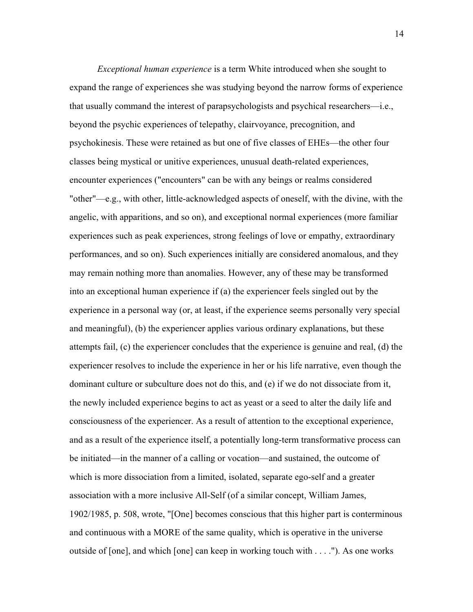*Exceptional human experience* is a term White introduced when she sought to expand the range of experiences she was studying beyond the narrow forms of experience that usually command the interest of parapsychologists and psychical researchers—i.e., beyond the psychic experiences of telepathy, clairvoyance, precognition, and psychokinesis. These were retained as but one of five classes of EHEs—the other four classes being mystical or unitive experiences, unusual death-related experiences, encounter experiences ("encounters" can be with any beings or realms considered "other"—e.g., with other, little-acknowledged aspects of oneself, with the divine, with the angelic, with apparitions, and so on), and exceptional normal experiences (more familiar experiences such as peak experiences, strong feelings of love or empathy, extraordinary performances, and so on). Such experiences initially are considered anomalous, and they may remain nothing more than anomalies. However, any of these may be transformed into an exceptional human experience if (a) the experiencer feels singled out by the experience in a personal way (or, at least, if the experience seems personally very special and meaningful), (b) the experiencer applies various ordinary explanations, but these attempts fail, (c) the experiencer concludes that the experience is genuine and real, (d) the experiencer resolves to include the experience in her or his life narrative, even though the dominant culture or subculture does not do this, and (e) if we do not dissociate from it, the newly included experience begins to act as yeast or a seed to alter the daily life and consciousness of the experiencer. As a result of attention to the exceptional experience, and as a result of the experience itself, a potentially long-term transformative process can be initiated—in the manner of a calling or vocation—and sustained, the outcome of which is more dissociation from a limited, isolated, separate ego-self and a greater association with a more inclusive All-Self (of a similar concept, William James, 1902/1985, p. 508, wrote, "[One] becomes conscious that this higher part is conterminous and continuous with a MORE of the same quality, which is operative in the universe outside of [one], and which [one] can keep in working touch with . . . ."). As one works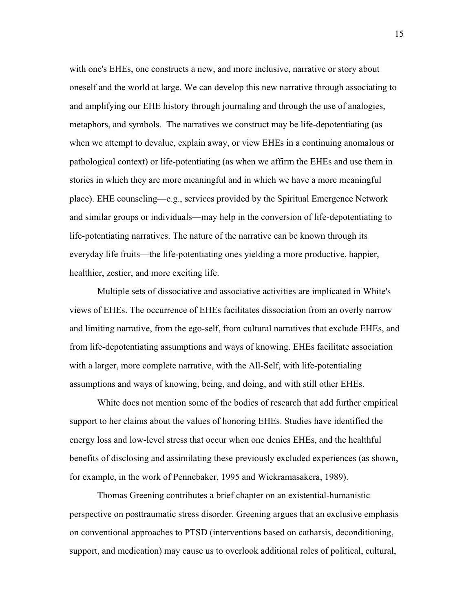with one's EHEs, one constructs a new, and more inclusive, narrative or story about oneself and the world at large. We can develop this new narrative through associating to and amplifying our EHE history through journaling and through the use of analogies, metaphors, and symbols. The narratives we construct may be life-depotentiating (as when we attempt to devalue, explain away, or view EHEs in a continuing anomalous or pathological context) or life-potentiating (as when we affirm the EHEs and use them in stories in which they are more meaningful and in which we have a more meaningful place). EHE counseling—e.g., services provided by the Spiritual Emergence Network and similar groups or individuals—may help in the conversion of life-depotentiating to life-potentiating narratives. The nature of the narrative can be known through its everyday life fruits—the life-potentiating ones yielding a more productive, happier, healthier, zestier, and more exciting life.

Multiple sets of dissociative and associative activities are implicated in White's views of EHEs. The occurrence of EHEs facilitates dissociation from an overly narrow and limiting narrative, from the ego-self, from cultural narratives that exclude EHEs, and from life-depotentiating assumptions and ways of knowing. EHEs facilitate association with a larger, more complete narrative, with the All-Self, with life-potentialing assumptions and ways of knowing, being, and doing, and with still other EHEs.

White does not mention some of the bodies of research that add further empirical support to her claims about the values of honoring EHEs. Studies have identified the energy loss and low-level stress that occur when one denies EHEs, and the healthful benefits of disclosing and assimilating these previously excluded experiences (as shown, for example, in the work of Pennebaker, 1995 and Wickramasakera, 1989).

Thomas Greening contributes a brief chapter on an existential-humanistic perspective on posttraumatic stress disorder. Greening argues that an exclusive emphasis on conventional approaches to PTSD (interventions based on catharsis, deconditioning, support, and medication) may cause us to overlook additional roles of political, cultural,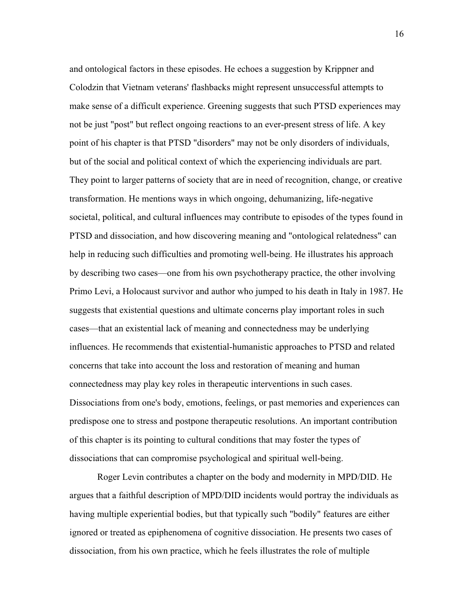and ontological factors in these episodes. He echoes a suggestion by Krippner and Colodzin that Vietnam veterans' flashbacks might represent unsuccessful attempts to make sense of a difficult experience. Greening suggests that such PTSD experiences may not be just "post" but reflect ongoing reactions to an ever-present stress of life. A key point of his chapter is that PTSD "disorders" may not be only disorders of individuals, but of the social and political context of which the experiencing individuals are part. They point to larger patterns of society that are in need of recognition, change, or creative transformation. He mentions ways in which ongoing, dehumanizing, life-negative societal, political, and cultural influences may contribute to episodes of the types found in PTSD and dissociation, and how discovering meaning and "ontological relatedness" can help in reducing such difficulties and promoting well-being. He illustrates his approach by describing two cases—one from his own psychotherapy practice, the other involving Primo Levi, a Holocaust survivor and author who jumped to his death in Italy in 1987. He suggests that existential questions and ultimate concerns play important roles in such cases—that an existential lack of meaning and connectedness may be underlying influences. He recommends that existential-humanistic approaches to PTSD and related concerns that take into account the loss and restoration of meaning and human connectedness may play key roles in therapeutic interventions in such cases. Dissociations from one's body, emotions, feelings, or past memories and experiences can predispose one to stress and postpone therapeutic resolutions. An important contribution of this chapter is its pointing to cultural conditions that may foster the types of dissociations that can compromise psychological and spiritual well-being.

Roger Levin contributes a chapter on the body and modernity in MPD/DID. He argues that a faithful description of MPD/DID incidents would portray the individuals as having multiple experiential bodies, but that typically such "bodily" features are either ignored or treated as epiphenomena of cognitive dissociation. He presents two cases of dissociation, from his own practice, which he feels illustrates the role of multiple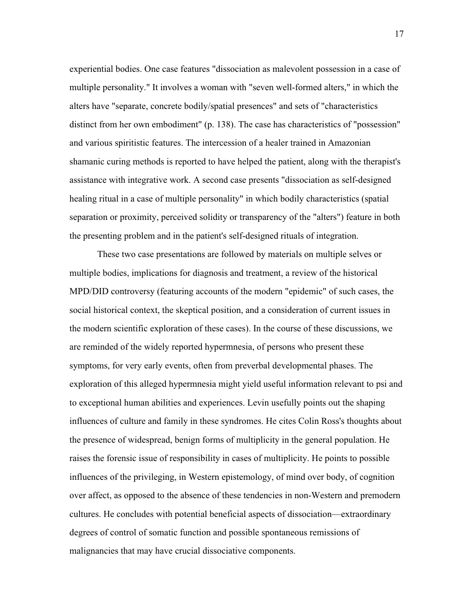experiential bodies. One case features "dissociation as malevolent possession in a case of multiple personality." It involves a woman with "seven well-formed alters," in which the alters have "separate, concrete bodily/spatial presences" and sets of "characteristics distinct from her own embodiment" (p. 138). The case has characteristics of "possession" and various spiritistic features. The intercession of a healer trained in Amazonian shamanic curing methods is reported to have helped the patient, along with the therapist's assistance with integrative work. A second case presents "dissociation as self-designed healing ritual in a case of multiple personality" in which bodily characteristics (spatial separation or proximity, perceived solidity or transparency of the "alters") feature in both the presenting problem and in the patient's self-designed rituals of integration.

These two case presentations are followed by materials on multiple selves or multiple bodies, implications for diagnosis and treatment, a review of the historical MPD/DID controversy (featuring accounts of the modern "epidemic" of such cases, the social historical context, the skeptical position, and a consideration of current issues in the modern scientific exploration of these cases). In the course of these discussions, we are reminded of the widely reported hypermnesia, of persons who present these symptoms, for very early events, often from preverbal developmental phases. The exploration of this alleged hypermnesia might yield useful information relevant to psi and to exceptional human abilities and experiences. Levin usefully points out the shaping influences of culture and family in these syndromes. He cites Colin Ross's thoughts about the presence of widespread, benign forms of multiplicity in the general population. He raises the forensic issue of responsibility in cases of multiplicity. He points to possible influences of the privileging, in Western epistemology, of mind over body, of cognition over affect, as opposed to the absence of these tendencies in non-Western and premodern cultures. He concludes with potential beneficial aspects of dissociation—extraordinary degrees of control of somatic function and possible spontaneous remissions of malignancies that may have crucial dissociative components.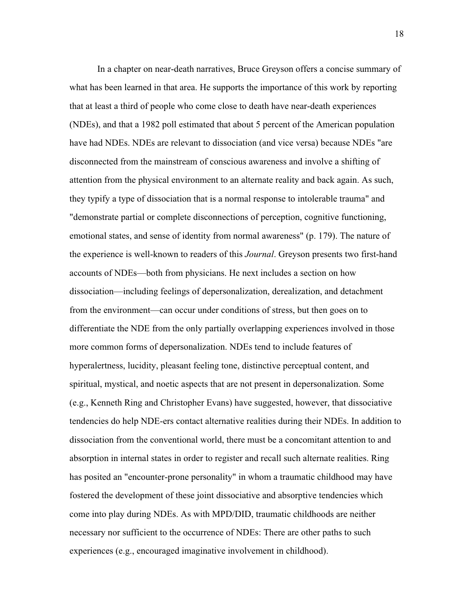In a chapter on near-death narratives, Bruce Greyson offers a concise summary of what has been learned in that area. He supports the importance of this work by reporting that at least a third of people who come close to death have near-death experiences (NDEs), and that a 1982 poll estimated that about 5 percent of the American population have had NDEs. NDEs are relevant to dissociation (and vice versa) because NDEs "are disconnected from the mainstream of conscious awareness and involve a shifting of attention from the physical environment to an alternate reality and back again. As such, they typify a type of dissociation that is a normal response to intolerable trauma" and "demonstrate partial or complete disconnections of perception, cognitive functioning, emotional states, and sense of identity from normal awareness" (p. 179). The nature of the experience is well-known to readers of this *Journal*. Greyson presents two first-hand accounts of NDEs—both from physicians. He next includes a section on how dissociation—including feelings of depersonalization, derealization, and detachment from the environment—can occur under conditions of stress, but then goes on to differentiate the NDE from the only partially overlapping experiences involved in those more common forms of depersonalization. NDEs tend to include features of hyperalertness, lucidity, pleasant feeling tone, distinctive perceptual content, and spiritual, mystical, and noetic aspects that are not present in depersonalization. Some (e.g., Kenneth Ring and Christopher Evans) have suggested, however, that dissociative tendencies do help NDE-ers contact alternative realities during their NDEs. In addition to dissociation from the conventional world, there must be a concomitant attention to and absorption in internal states in order to register and recall such alternate realities. Ring has posited an "encounter-prone personality" in whom a traumatic childhood may have fostered the development of these joint dissociative and absorptive tendencies which come into play during NDEs. As with MPD/DID, traumatic childhoods are neither necessary nor sufficient to the occurrence of NDEs: There are other paths to such experiences (e.g., encouraged imaginative involvement in childhood).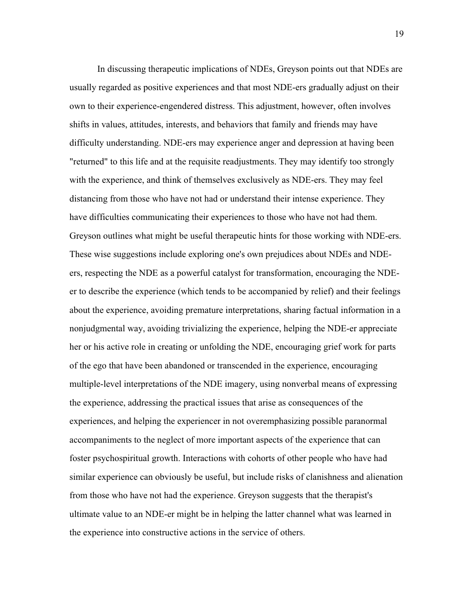In discussing therapeutic implications of NDEs, Greyson points out that NDEs are usually regarded as positive experiences and that most NDE-ers gradually adjust on their own to their experience-engendered distress. This adjustment, however, often involves shifts in values, attitudes, interests, and behaviors that family and friends may have difficulty understanding. NDE-ers may experience anger and depression at having been "returned" to this life and at the requisite readjustments. They may identify too strongly with the experience, and think of themselves exclusively as NDE-ers. They may feel distancing from those who have not had or understand their intense experience. They have difficulties communicating their experiences to those who have not had them. Greyson outlines what might be useful therapeutic hints for those working with NDE-ers. These wise suggestions include exploring one's own prejudices about NDEs and NDEers, respecting the NDE as a powerful catalyst for transformation, encouraging the NDEer to describe the experience (which tends to be accompanied by relief) and their feelings about the experience, avoiding premature interpretations, sharing factual information in a nonjudgmental way, avoiding trivializing the experience, helping the NDE-er appreciate her or his active role in creating or unfolding the NDE, encouraging grief work for parts of the ego that have been abandoned or transcended in the experience, encouraging multiple-level interpretations of the NDE imagery, using nonverbal means of expressing the experience, addressing the practical issues that arise as consequences of the experiences, and helping the experiencer in not overemphasizing possible paranormal accompaniments to the neglect of more important aspects of the experience that can foster psychospiritual growth. Interactions with cohorts of other people who have had similar experience can obviously be useful, but include risks of clanishness and alienation from those who have not had the experience. Greyson suggests that the therapist's ultimate value to an NDE-er might be in helping the latter channel what was learned in the experience into constructive actions in the service of others.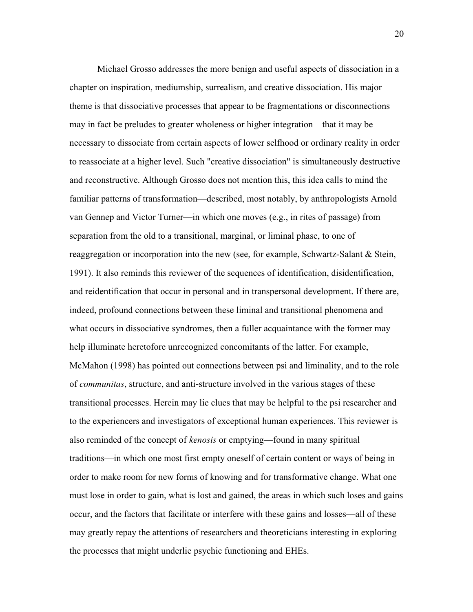Michael Grosso addresses the more benign and useful aspects of dissociation in a chapter on inspiration, mediumship, surrealism, and creative dissociation. His major theme is that dissociative processes that appear to be fragmentations or disconnections may in fact be preludes to greater wholeness or higher integration—that it may be necessary to dissociate from certain aspects of lower selfhood or ordinary reality in order to reassociate at a higher level. Such "creative dissociation" is simultaneously destructive and reconstructive. Although Grosso does not mention this, this idea calls to mind the familiar patterns of transformation—described, most notably, by anthropologists Arnold van Gennep and Victor Turner—in which one moves (e.g., in rites of passage) from separation from the old to a transitional, marginal, or liminal phase, to one of reaggregation or incorporation into the new (see, for example, Schwartz-Salant & Stein, 1991). It also reminds this reviewer of the sequences of identification, disidentification, and reidentification that occur in personal and in transpersonal development. If there are, indeed, profound connections between these liminal and transitional phenomena and what occurs in dissociative syndromes, then a fuller acquaintance with the former may help illuminate heretofore unrecognized concomitants of the latter. For example, McMahon (1998) has pointed out connections between psi and liminality, and to the role of *communitas*, structure, and anti-structure involved in the various stages of these transitional processes. Herein may lie clues that may be helpful to the psi researcher and to the experiencers and investigators of exceptional human experiences. This reviewer is also reminded of the concept of *kenosis* or emptying—found in many spiritual traditions—in which one most first empty oneself of certain content or ways of being in order to make room for new forms of knowing and for transformative change. What one must lose in order to gain, what is lost and gained, the areas in which such loses and gains occur, and the factors that facilitate or interfere with these gains and losses—all of these may greatly repay the attentions of researchers and theoreticians interesting in exploring the processes that might underlie psychic functioning and EHEs.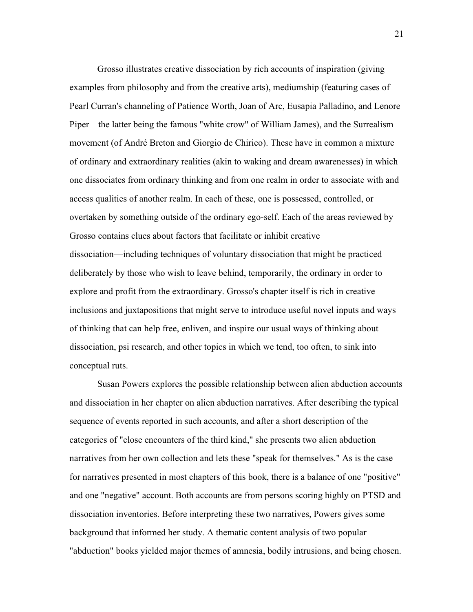Grosso illustrates creative dissociation by rich accounts of inspiration (giving examples from philosophy and from the creative arts), mediumship (featuring cases of Pearl Curran's channeling of Patience Worth, Joan of Arc, Eusapia Palladino, and Lenore Piper—the latter being the famous "white crow" of William James), and the Surrealism movement (of André Breton and Giorgio de Chirico). These have in common a mixture of ordinary and extraordinary realities (akin to waking and dream awarenesses) in which one dissociates from ordinary thinking and from one realm in order to associate with and access qualities of another realm. In each of these, one is possessed, controlled, or overtaken by something outside of the ordinary ego-self. Each of the areas reviewed by Grosso contains clues about factors that facilitate or inhibit creative dissociation—including techniques of voluntary dissociation that might be practiced deliberately by those who wish to leave behind, temporarily, the ordinary in order to explore and profit from the extraordinary. Grosso's chapter itself is rich in creative inclusions and juxtapositions that might serve to introduce useful novel inputs and ways of thinking that can help free, enliven, and inspire our usual ways of thinking about dissociation, psi research, and other topics in which we tend, too often, to sink into conceptual ruts.

Susan Powers explores the possible relationship between alien abduction accounts and dissociation in her chapter on alien abduction narratives. After describing the typical sequence of events reported in such accounts, and after a short description of the categories of "close encounters of the third kind," she presents two alien abduction narratives from her own collection and lets these "speak for themselves." As is the case for narratives presented in most chapters of this book, there is a balance of one "positive" and one "negative" account. Both accounts are from persons scoring highly on PTSD and dissociation inventories. Before interpreting these two narratives, Powers gives some background that informed her study. A thematic content analysis of two popular "abduction" books yielded major themes of amnesia, bodily intrusions, and being chosen.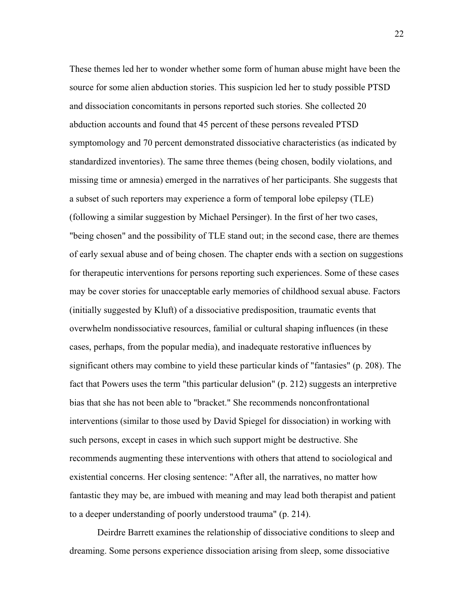These themes led her to wonder whether some form of human abuse might have been the source for some alien abduction stories. This suspicion led her to study possible PTSD and dissociation concomitants in persons reported such stories. She collected 20 abduction accounts and found that 45 percent of these persons revealed PTSD symptomology and 70 percent demonstrated dissociative characteristics (as indicated by standardized inventories). The same three themes (being chosen, bodily violations, and missing time or amnesia) emerged in the narratives of her participants. She suggests that a subset of such reporters may experience a form of temporal lobe epilepsy (TLE) (following a similar suggestion by Michael Persinger). In the first of her two cases, "being chosen" and the possibility of TLE stand out; in the second case, there are themes of early sexual abuse and of being chosen. The chapter ends with a section on suggestions for therapeutic interventions for persons reporting such experiences. Some of these cases may be cover stories for unacceptable early memories of childhood sexual abuse. Factors (initially suggested by Kluft) of a dissociative predisposition, traumatic events that overwhelm nondissociative resources, familial or cultural shaping influences (in these cases, perhaps, from the popular media), and inadequate restorative influences by significant others may combine to yield these particular kinds of "fantasies" (p. 208). The fact that Powers uses the term "this particular delusion" (p. 212) suggests an interpretive bias that she has not been able to "bracket." She recommends nonconfrontational interventions (similar to those used by David Spiegel for dissociation) in working with such persons, except in cases in which such support might be destructive. She recommends augmenting these interventions with others that attend to sociological and existential concerns. Her closing sentence: "After all, the narratives, no matter how fantastic they may be, are imbued with meaning and may lead both therapist and patient to a deeper understanding of poorly understood trauma" (p. 214).

Deirdre Barrett examines the relationship of dissociative conditions to sleep and dreaming. Some persons experience dissociation arising from sleep, some dissociative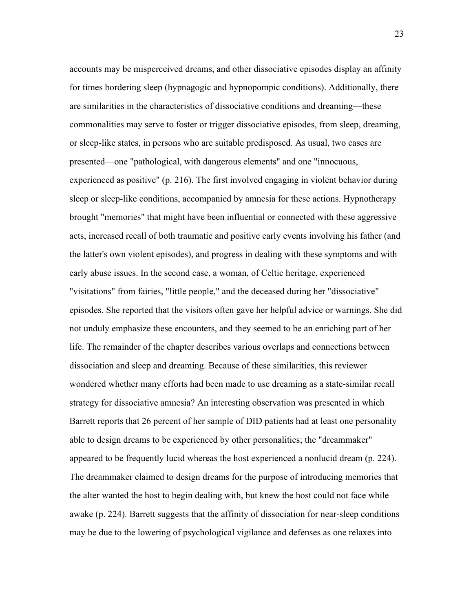accounts may be misperceived dreams, and other dissociative episodes display an affinity for times bordering sleep (hypnagogic and hypnopompic conditions). Additionally, there are similarities in the characteristics of dissociative conditions and dreaming—these commonalities may serve to foster or trigger dissociative episodes, from sleep, dreaming, or sleep-like states, in persons who are suitable predisposed. As usual, two cases are presented—one "pathological, with dangerous elements" and one "innocuous, experienced as positive" (p. 216). The first involved engaging in violent behavior during sleep or sleep-like conditions, accompanied by amnesia for these actions. Hypnotherapy brought "memories" that might have been influential or connected with these aggressive acts, increased recall of both traumatic and positive early events involving his father (and the latter's own violent episodes), and progress in dealing with these symptoms and with early abuse issues. In the second case, a woman, of Celtic heritage, experienced "visitations" from fairies, "little people," and the deceased during her "dissociative" episodes. She reported that the visitors often gave her helpful advice or warnings. She did not unduly emphasize these encounters, and they seemed to be an enriching part of her life. The remainder of the chapter describes various overlaps and connections between dissociation and sleep and dreaming. Because of these similarities, this reviewer wondered whether many efforts had been made to use dreaming as a state-similar recall strategy for dissociative amnesia? An interesting observation was presented in which Barrett reports that 26 percent of her sample of DID patients had at least one personality able to design dreams to be experienced by other personalities; the "dreammaker" appeared to be frequently lucid whereas the host experienced a nonlucid dream (p. 224). The dreammaker claimed to design dreams for the purpose of introducing memories that the alter wanted the host to begin dealing with, but knew the host could not face while awake (p. 224). Barrett suggests that the affinity of dissociation for near-sleep conditions may be due to the lowering of psychological vigilance and defenses as one relaxes into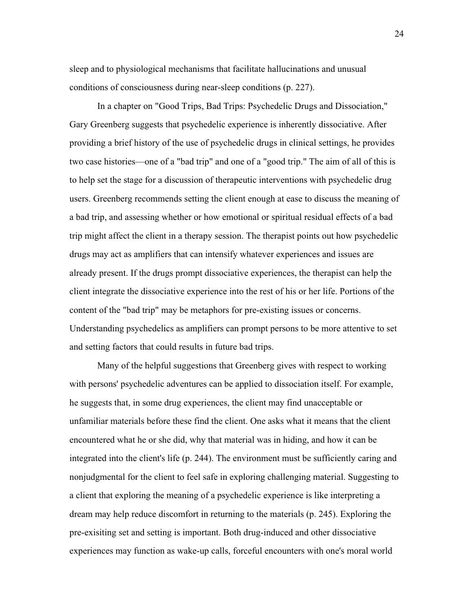sleep and to physiological mechanisms that facilitate hallucinations and unusual conditions of consciousness during near-sleep conditions (p. 227).

In a chapter on "Good Trips, Bad Trips: Psychedelic Drugs and Dissociation," Gary Greenberg suggests that psychedelic experience is inherently dissociative. After providing a brief history of the use of psychedelic drugs in clinical settings, he provides two case histories—one of a "bad trip" and one of a "good trip." The aim of all of this is to help set the stage for a discussion of therapeutic interventions with psychedelic drug users. Greenberg recommends setting the client enough at ease to discuss the meaning of a bad trip, and assessing whether or how emotional or spiritual residual effects of a bad trip might affect the client in a therapy session. The therapist points out how psychedelic drugs may act as amplifiers that can intensify whatever experiences and issues are already present. If the drugs prompt dissociative experiences, the therapist can help the client integrate the dissociative experience into the rest of his or her life. Portions of the content of the "bad trip" may be metaphors for pre-existing issues or concerns. Understanding psychedelics as amplifiers can prompt persons to be more attentive to set and setting factors that could results in future bad trips.

Many of the helpful suggestions that Greenberg gives with respect to working with persons' psychedelic adventures can be applied to dissociation itself. For example, he suggests that, in some drug experiences, the client may find unacceptable or unfamiliar materials before these find the client. One asks what it means that the client encountered what he or she did, why that material was in hiding, and how it can be integrated into the client's life (p. 244). The environment must be sufficiently caring and nonjudgmental for the client to feel safe in exploring challenging material. Suggesting to a client that exploring the meaning of a psychedelic experience is like interpreting a dream may help reduce discomfort in returning to the materials (p. 245). Exploring the pre-exisiting set and setting is important. Both drug-induced and other dissociative experiences may function as wake-up calls, forceful encounters with one's moral world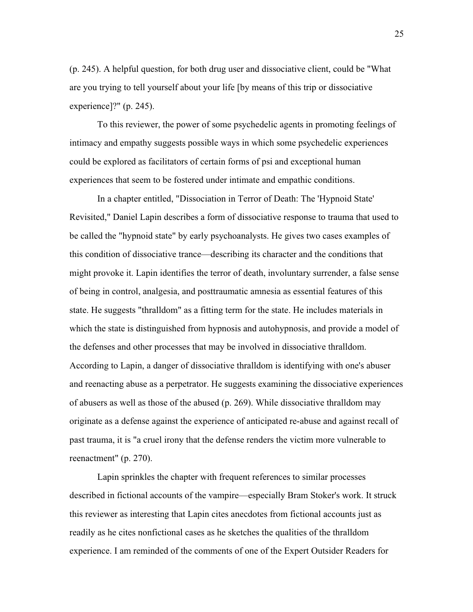(p. 245). A helpful question, for both drug user and dissociative client, could be "What are you trying to tell yourself about your life [by means of this trip or dissociative experience]?" (p. 245).

To this reviewer, the power of some psychedelic agents in promoting feelings of intimacy and empathy suggests possible ways in which some psychedelic experiences could be explored as facilitators of certain forms of psi and exceptional human experiences that seem to be fostered under intimate and empathic conditions.

In a chapter entitled, "Dissociation in Terror of Death: The 'Hypnoid State' Revisited," Daniel Lapin describes a form of dissociative response to trauma that used to be called the "hypnoid state" by early psychoanalysts. He gives two cases examples of this condition of dissociative trance—describing its character and the conditions that might provoke it. Lapin identifies the terror of death, involuntary surrender, a false sense of being in control, analgesia, and posttraumatic amnesia as essential features of this state. He suggests "thralldom" as a fitting term for the state. He includes materials in which the state is distinguished from hypnosis and autohypnosis, and provide a model of the defenses and other processes that may be involved in dissociative thralldom. According to Lapin, a danger of dissociative thralldom is identifying with one's abuser and reenacting abuse as a perpetrator. He suggests examining the dissociative experiences of abusers as well as those of the abused (p. 269). While dissociative thralldom may originate as a defense against the experience of anticipated re-abuse and against recall of past trauma, it is "a cruel irony that the defense renders the victim more vulnerable to reenactment" (p. 270).

Lapin sprinkles the chapter with frequent references to similar processes described in fictional accounts of the vampire—especially Bram Stoker's work. It struck this reviewer as interesting that Lapin cites anecdotes from fictional accounts just as readily as he cites nonfictional cases as he sketches the qualities of the thralldom experience. I am reminded of the comments of one of the Expert Outsider Readers for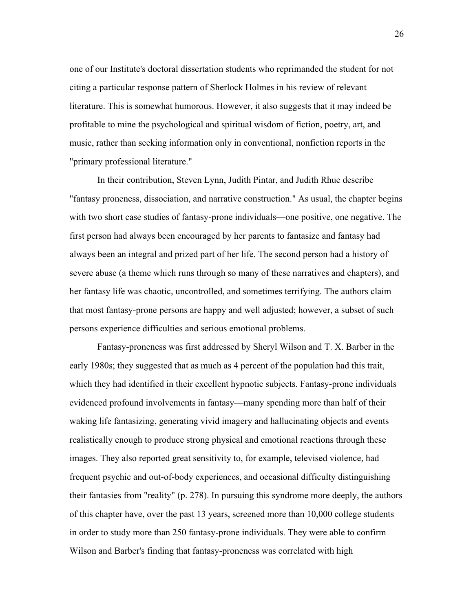one of our Institute's doctoral dissertation students who reprimanded the student for not citing a particular response pattern of Sherlock Holmes in his review of relevant literature. This is somewhat humorous. However, it also suggests that it may indeed be profitable to mine the psychological and spiritual wisdom of fiction, poetry, art, and music, rather than seeking information only in conventional, nonfiction reports in the "primary professional literature."

In their contribution, Steven Lynn, Judith Pintar, and Judith Rhue describe "fantasy proneness, dissociation, and narrative construction." As usual, the chapter begins with two short case studies of fantasy-prone individuals—one positive, one negative. The first person had always been encouraged by her parents to fantasize and fantasy had always been an integral and prized part of her life. The second person had a history of severe abuse (a theme which runs through so many of these narratives and chapters), and her fantasy life was chaotic, uncontrolled, and sometimes terrifying. The authors claim that most fantasy-prone persons are happy and well adjusted; however, a subset of such persons experience difficulties and serious emotional problems.

Fantasy-proneness was first addressed by Sheryl Wilson and T. X. Barber in the early 1980s; they suggested that as much as 4 percent of the population had this trait, which they had identified in their excellent hypnotic subjects. Fantasy-prone individuals evidenced profound involvements in fantasy—many spending more than half of their waking life fantasizing, generating vivid imagery and hallucinating objects and events realistically enough to produce strong physical and emotional reactions through these images. They also reported great sensitivity to, for example, televised violence, had frequent psychic and out-of-body experiences, and occasional difficulty distinguishing their fantasies from "reality" (p. 278). In pursuing this syndrome more deeply, the authors of this chapter have, over the past 13 years, screened more than 10,000 college students in order to study more than 250 fantasy-prone individuals. They were able to confirm Wilson and Barber's finding that fantasy-proneness was correlated with high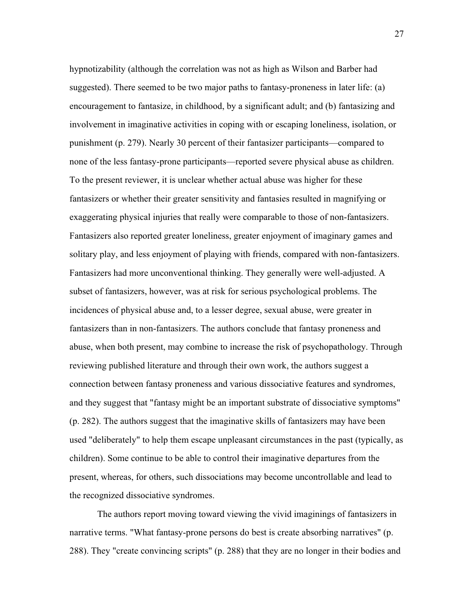hypnotizability (although the correlation was not as high as Wilson and Barber had suggested). There seemed to be two major paths to fantasy-proneness in later life: (a) encouragement to fantasize, in childhood, by a significant adult; and (b) fantasizing and involvement in imaginative activities in coping with or escaping loneliness, isolation, or punishment (p. 279). Nearly 30 percent of their fantasizer participants—compared to none of the less fantasy-prone participants—reported severe physical abuse as children. To the present reviewer, it is unclear whether actual abuse was higher for these fantasizers or whether their greater sensitivity and fantasies resulted in magnifying or exaggerating physical injuries that really were comparable to those of non-fantasizers. Fantasizers also reported greater loneliness, greater enjoyment of imaginary games and solitary play, and less enjoyment of playing with friends, compared with non-fantasizers. Fantasizers had more unconventional thinking. They generally were well-adjusted. A subset of fantasizers, however, was at risk for serious psychological problems. The incidences of physical abuse and, to a lesser degree, sexual abuse, were greater in fantasizers than in non-fantasizers. The authors conclude that fantasy proneness and abuse, when both present, may combine to increase the risk of psychopathology. Through reviewing published literature and through their own work, the authors suggest a connection between fantasy proneness and various dissociative features and syndromes, and they suggest that "fantasy might be an important substrate of dissociative symptoms" (p. 282). The authors suggest that the imaginative skills of fantasizers may have been used "deliberately" to help them escape unpleasant circumstances in the past (typically, as children). Some continue to be able to control their imaginative departures from the present, whereas, for others, such dissociations may become uncontrollable and lead to the recognized dissociative syndromes.

The authors report moving toward viewing the vivid imaginings of fantasizers in narrative terms. "What fantasy-prone persons do best is create absorbing narratives" (p. 288). They "create convincing scripts" (p. 288) that they are no longer in their bodies and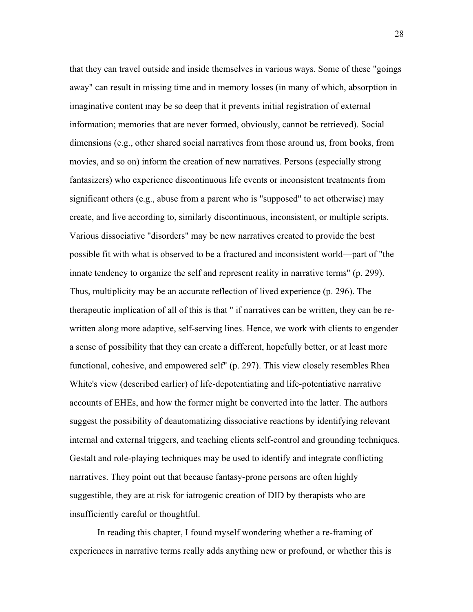that they can travel outside and inside themselves in various ways. Some of these "goings away" can result in missing time and in memory losses (in many of which, absorption in imaginative content may be so deep that it prevents initial registration of external information; memories that are never formed, obviously, cannot be retrieved). Social dimensions (e.g., other shared social narratives from those around us, from books, from movies, and so on) inform the creation of new narratives. Persons (especially strong fantasizers) who experience discontinuous life events or inconsistent treatments from significant others (e.g., abuse from a parent who is "supposed" to act otherwise) may create, and live according to, similarly discontinuous, inconsistent, or multiple scripts. Various dissociative "disorders" may be new narratives created to provide the best possible fit with what is observed to be a fractured and inconsistent world—part of "the innate tendency to organize the self and represent reality in narrative terms" (p. 299). Thus, multiplicity may be an accurate reflection of lived experience (p. 296). The therapeutic implication of all of this is that " if narratives can be written, they can be rewritten along more adaptive, self-serving lines. Hence, we work with clients to engender a sense of possibility that they can create a different, hopefully better, or at least more functional, cohesive, and empowered self" (p. 297). This view closely resembles Rhea White's view (described earlier) of life-depotentiating and life-potentiative narrative accounts of EHEs, and how the former might be converted into the latter. The authors suggest the possibility of deautomatizing dissociative reactions by identifying relevant internal and external triggers, and teaching clients self-control and grounding techniques. Gestalt and role-playing techniques may be used to identify and integrate conflicting narratives. They point out that because fantasy-prone persons are often highly suggestible, they are at risk for iatrogenic creation of DID by therapists who are insufficiently careful or thoughtful.

In reading this chapter, I found myself wondering whether a re-framing of experiences in narrative terms really adds anything new or profound, or whether this is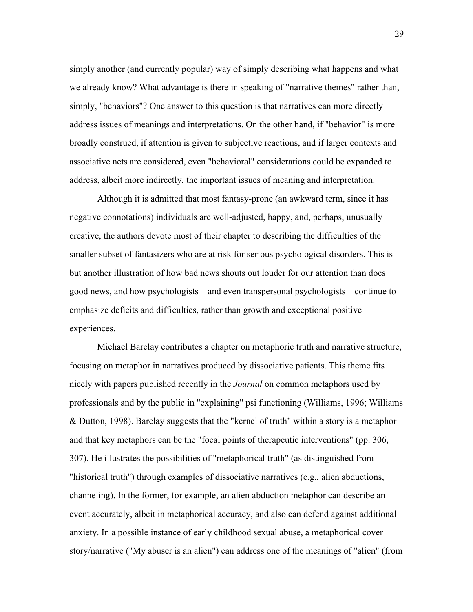simply another (and currently popular) way of simply describing what happens and what we already know? What advantage is there in speaking of "narrative themes" rather than, simply, "behaviors"? One answer to this question is that narratives can more directly address issues of meanings and interpretations. On the other hand, if "behavior" is more broadly construed, if attention is given to subjective reactions, and if larger contexts and associative nets are considered, even "behavioral" considerations could be expanded to address, albeit more indirectly, the important issues of meaning and interpretation.

Although it is admitted that most fantasy-prone (an awkward term, since it has negative connotations) individuals are well-adjusted, happy, and, perhaps, unusually creative, the authors devote most of their chapter to describing the difficulties of the smaller subset of fantasizers who are at risk for serious psychological disorders. This is but another illustration of how bad news shouts out louder for our attention than does good news, and how psychologists—and even transpersonal psychologists—continue to emphasize deficits and difficulties, rather than growth and exceptional positive experiences.

Michael Barclay contributes a chapter on metaphoric truth and narrative structure, focusing on metaphor in narratives produced by dissociative patients. This theme fits nicely with papers published recently in the *Journal* on common metaphors used by professionals and by the public in "explaining" psi functioning (Williams, 1996; Williams & Dutton, 1998). Barclay suggests that the "kernel of truth" within a story is a metaphor and that key metaphors can be the "focal points of therapeutic interventions" (pp. 306, 307). He illustrates the possibilities of "metaphorical truth" (as distinguished from "historical truth") through examples of dissociative narratives (e.g., alien abductions, channeling). In the former, for example, an alien abduction metaphor can describe an event accurately, albeit in metaphorical accuracy, and also can defend against additional anxiety. In a possible instance of early childhood sexual abuse, a metaphorical cover story/narrative ("My abuser is an alien") can address one of the meanings of "alien" (from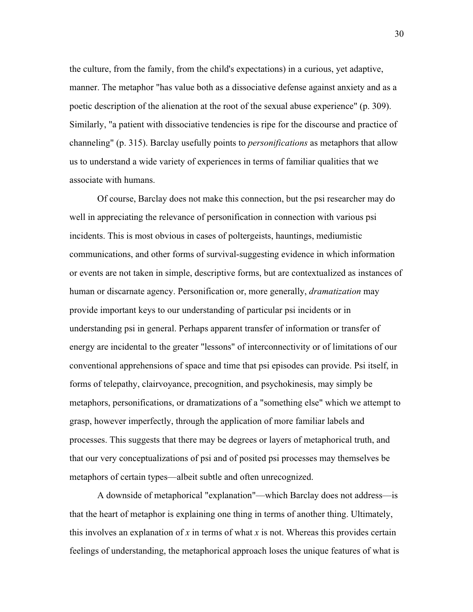the culture, from the family, from the child's expectations) in a curious, yet adaptive, manner. The metaphor "has value both as a dissociative defense against anxiety and as a poetic description of the alienation at the root of the sexual abuse experience" (p. 309). Similarly, "a patient with dissociative tendencies is ripe for the discourse and practice of channeling" (p. 315). Barclay usefully points to *personifications* as metaphors that allow us to understand a wide variety of experiences in terms of familiar qualities that we associate with humans.

Of course, Barclay does not make this connection, but the psi researcher may do well in appreciating the relevance of personification in connection with various psi incidents. This is most obvious in cases of poltergeists, hauntings, mediumistic communications, and other forms of survival-suggesting evidence in which information or events are not taken in simple, descriptive forms, but are contextualized as instances of human or discarnate agency. Personification or, more generally, *dramatization* may provide important keys to our understanding of particular psi incidents or in understanding psi in general. Perhaps apparent transfer of information or transfer of energy are incidental to the greater "lessons" of interconnectivity or of limitations of our conventional apprehensions of space and time that psi episodes can provide. Psi itself, in forms of telepathy, clairvoyance, precognition, and psychokinesis, may simply be metaphors, personifications, or dramatizations of a "something else" which we attempt to grasp, however imperfectly, through the application of more familiar labels and processes. This suggests that there may be degrees or layers of metaphorical truth, and that our very conceptualizations of psi and of posited psi processes may themselves be metaphors of certain types—albeit subtle and often unrecognized.

A downside of metaphorical "explanation"—which Barclay does not address—is that the heart of metaphor is explaining one thing in terms of another thing. Ultimately, this involves an explanation of *x* in terms of what *x* is not. Whereas this provides certain feelings of understanding, the metaphorical approach loses the unique features of what is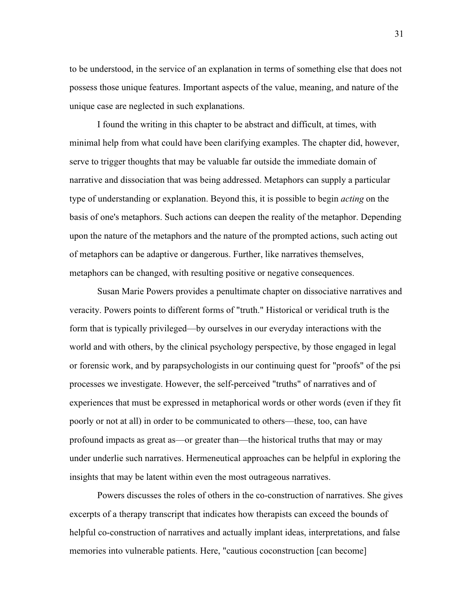to be understood, in the service of an explanation in terms of something else that does not possess those unique features. Important aspects of the value, meaning, and nature of the unique case are neglected in such explanations.

I found the writing in this chapter to be abstract and difficult, at times, with minimal help from what could have been clarifying examples. The chapter did, however, serve to trigger thoughts that may be valuable far outside the immediate domain of narrative and dissociation that was being addressed. Metaphors can supply a particular type of understanding or explanation. Beyond this, it is possible to begin *acting* on the basis of one's metaphors. Such actions can deepen the reality of the metaphor. Depending upon the nature of the metaphors and the nature of the prompted actions, such acting out of metaphors can be adaptive or dangerous. Further, like narratives themselves, metaphors can be changed, with resulting positive or negative consequences.

Susan Marie Powers provides a penultimate chapter on dissociative narratives and veracity. Powers points to different forms of "truth." Historical or veridical truth is the form that is typically privileged—by ourselves in our everyday interactions with the world and with others, by the clinical psychology perspective, by those engaged in legal or forensic work, and by parapsychologists in our continuing quest for "proofs" of the psi processes we investigate. However, the self-perceived "truths" of narratives and of experiences that must be expressed in metaphorical words or other words (even if they fit poorly or not at all) in order to be communicated to others—these, too, can have profound impacts as great as—or greater than—the historical truths that may or may under underlie such narratives. Hermeneutical approaches can be helpful in exploring the insights that may be latent within even the most outrageous narratives.

Powers discusses the roles of others in the co-construction of narratives. She gives excerpts of a therapy transcript that indicates how therapists can exceed the bounds of helpful co-construction of narratives and actually implant ideas, interpretations, and false memories into vulnerable patients. Here, "cautious coconstruction [can become]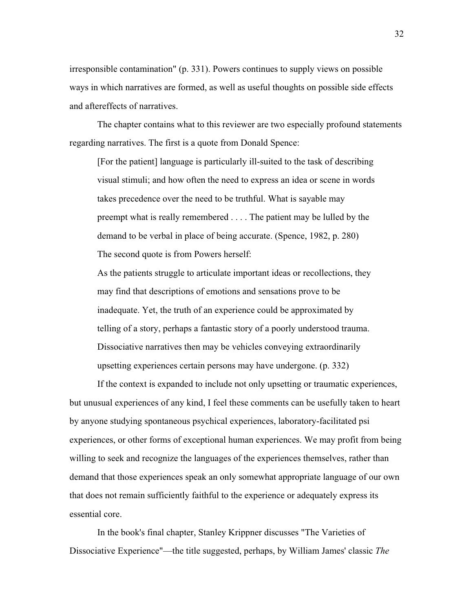irresponsible contamination" (p. 331). Powers continues to supply views on possible ways in which narratives are formed, as well as useful thoughts on possible side effects and aftereffects of narratives.

The chapter contains what to this reviewer are two especially profound statements regarding narratives. The first is a quote from Donald Spence:

[For the patient] language is particularly ill-suited to the task of describing visual stimuli; and how often the need to express an idea or scene in words takes precedence over the need to be truthful. What is sayable may preempt what is really remembered . . . . The patient may be lulled by the demand to be verbal in place of being accurate. (Spence, 1982, p. 280) The second quote is from Powers herself:

As the patients struggle to articulate important ideas or recollections, they may find that descriptions of emotions and sensations prove to be inadequate. Yet, the truth of an experience could be approximated by telling of a story, perhaps a fantastic story of a poorly understood trauma. Dissociative narratives then may be vehicles conveying extraordinarily upsetting experiences certain persons may have undergone. (p. 332)

If the context is expanded to include not only upsetting or traumatic experiences, but unusual experiences of any kind, I feel these comments can be usefully taken to heart by anyone studying spontaneous psychical experiences, laboratory-facilitated psi experiences, or other forms of exceptional human experiences. We may profit from being willing to seek and recognize the languages of the experiences themselves, rather than demand that those experiences speak an only somewhat appropriate language of our own that does not remain sufficiently faithful to the experience or adequately express its essential core.

In the book's final chapter, Stanley Krippner discusses "The Varieties of Dissociative Experience"—the title suggested, perhaps, by William James' classic *The*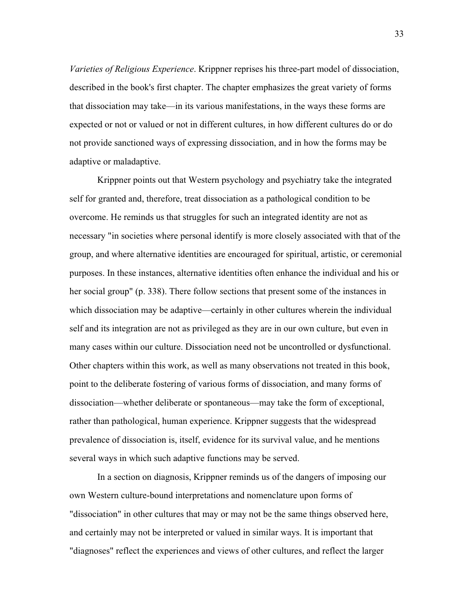*Varieties of Religious Experience*. Krippner reprises his three-part model of dissociation, described in the book's first chapter. The chapter emphasizes the great variety of forms that dissociation may take—in its various manifestations, in the ways these forms are expected or not or valued or not in different cultures, in how different cultures do or do not provide sanctioned ways of expressing dissociation, and in how the forms may be adaptive or maladaptive.

Krippner points out that Western psychology and psychiatry take the integrated self for granted and, therefore, treat dissociation as a pathological condition to be overcome. He reminds us that struggles for such an integrated identity are not as necessary "in societies where personal identify is more closely associated with that of the group, and where alternative identities are encouraged for spiritual, artistic, or ceremonial purposes. In these instances, alternative identities often enhance the individual and his or her social group" (p. 338). There follow sections that present some of the instances in which dissociation may be adaptive—certainly in other cultures wherein the individual self and its integration are not as privileged as they are in our own culture, but even in many cases within our culture. Dissociation need not be uncontrolled or dysfunctional. Other chapters within this work, as well as many observations not treated in this book, point to the deliberate fostering of various forms of dissociation, and many forms of dissociation—whether deliberate or spontaneous—may take the form of exceptional, rather than pathological, human experience. Krippner suggests that the widespread prevalence of dissociation is, itself, evidence for its survival value, and he mentions several ways in which such adaptive functions may be served.

In a section on diagnosis, Krippner reminds us of the dangers of imposing our own Western culture-bound interpretations and nomenclature upon forms of "dissociation" in other cultures that may or may not be the same things observed here, and certainly may not be interpreted or valued in similar ways. It is important that "diagnoses" reflect the experiences and views of other cultures, and reflect the larger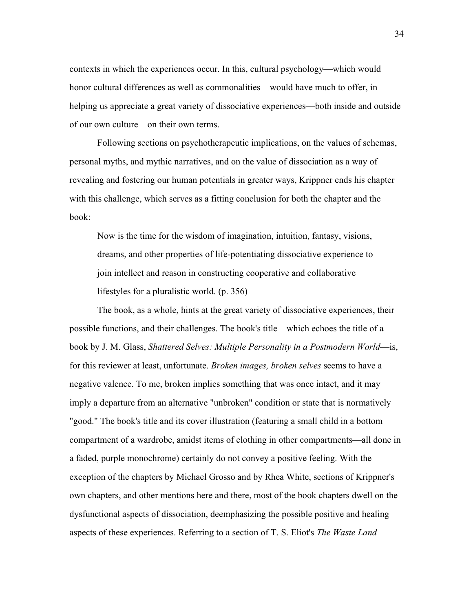contexts in which the experiences occur. In this, cultural psychology—which would honor cultural differences as well as commonalities—would have much to offer, in helping us appreciate a great variety of dissociative experiences—both inside and outside of our own culture—on their own terms.

Following sections on psychotherapeutic implications, on the values of schemas, personal myths, and mythic narratives, and on the value of dissociation as a way of revealing and fostering our human potentials in greater ways, Krippner ends his chapter with this challenge, which serves as a fitting conclusion for both the chapter and the book:

Now is the time for the wisdom of imagination, intuition, fantasy, visions, dreams, and other properties of life-potentiating dissociative experience to join intellect and reason in constructing cooperative and collaborative lifestyles for a pluralistic world. (p. 356)

The book, as a whole, hints at the great variety of dissociative experiences, their possible functions, and their challenges. The book's title—which echoes the title of a book by J. M. Glass, *Shattered Selves: Multiple Personality in a Postmodern World*—is, for this reviewer at least, unfortunate. *Broken images, broken selves* seems to have a negative valence. To me, broken implies something that was once intact, and it may imply a departure from an alternative "unbroken" condition or state that is normatively "good." The book's title and its cover illustration (featuring a small child in a bottom compartment of a wardrobe, amidst items of clothing in other compartments—all done in a faded, purple monochrome) certainly do not convey a positive feeling. With the exception of the chapters by Michael Grosso and by Rhea White, sections of Krippner's own chapters, and other mentions here and there, most of the book chapters dwell on the dysfunctional aspects of dissociation, deemphasizing the possible positive and healing aspects of these experiences. Referring to a section of T. S. Eliot's *The Waste Land*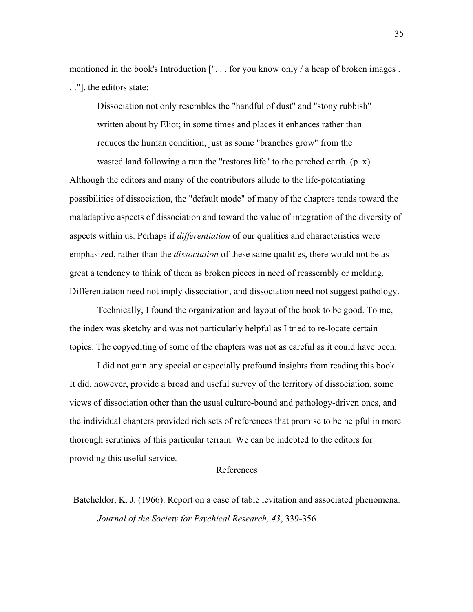mentioned in the book's Introduction [". . . for you know only / a heap of broken images . . ."], the editors state:

Dissociation not only resembles the "handful of dust" and "stony rubbish" written about by Eliot; in some times and places it enhances rather than reduces the human condition, just as some "branches grow" from the

wasted land following a rain the "restores life" to the parched earth. (p. x) Although the editors and many of the contributors allude to the life-potentiating possibilities of dissociation, the "default mode" of many of the chapters tends toward the maladaptive aspects of dissociation and toward the value of integration of the diversity of aspects within us. Perhaps if *differentiation* of our qualities and characteristics were emphasized, rather than the *dissociation* of these same qualities, there would not be as great a tendency to think of them as broken pieces in need of reassembly or melding. Differentiation need not imply dissociation, and dissociation need not suggest pathology.

Technically, I found the organization and layout of the book to be good. To me, the index was sketchy and was not particularly helpful as I tried to re-locate certain topics. The copyediting of some of the chapters was not as careful as it could have been.

I did not gain any special or especially profound insights from reading this book. It did, however, provide a broad and useful survey of the territory of dissociation, some views of dissociation other than the usual culture-bound and pathology-driven ones, and the individual chapters provided rich sets of references that promise to be helpful in more thorough scrutinies of this particular terrain. We can be indebted to the editors for providing this useful service.

#### References

Batcheldor, K. J. (1966). Report on a case of table levitation and associated phenomena. *Journal of the Society for Psychical Research, 43*, 339-356.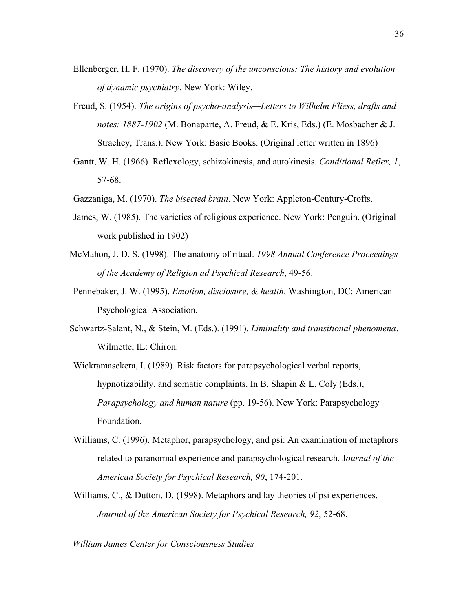- Ellenberger, H. F. (1970). *The discovery of the unconscious: The history and evolution of dynamic psychiatry*. New York: Wiley.
- Freud, S. (1954). *The origins of psycho-analysis—Letters to Wilhelm Fliess, drafts and notes: 1887-1902* (M. Bonaparte, A. Freud, & E. Kris, Eds.) (E. Mosbacher & J. Strachey, Trans.). New York: Basic Books. (Original letter written in 1896)
- Gantt, W. H. (1966). Reflexology, schizokinesis, and autokinesis. *Conditional Reflex, 1*, 57-68.
- Gazzaniga, M. (1970). *The bisected brain*. New York: Appleton-Century-Crofts.
- James, W. (1985). The varieties of religious experience. New York: Penguin. (Original work published in 1902)
- McMahon, J. D. S. (1998). The anatomy of ritual. *1998 Annual Conference Proceedings of the Academy of Religion ad Psychical Research*, 49-56.
- Pennebaker, J. W. (1995). *Emotion, disclosure, & health*. Washington, DC: American Psychological Association.
- Schwartz-Salant, N., & Stein, M. (Eds.). (1991). *Liminality and transitional phenomena*. Wilmette, IL: Chiron.

Wickramasekera, I. (1989). Risk factors for parapsychological verbal reports, hypnotizability, and somatic complaints. In B. Shapin & L. Coly (Eds.), *Parapsychology and human nature* (pp. 19-56). New York: Parapsychology Foundation.

- Williams, C. (1996). Metaphor, parapsychology, and psi: An examination of metaphors related to paranormal experience and parapsychological research. J*ournal of the American Society for Psychical Research, 90*, 174-201.
- Williams, C., & Dutton, D. (1998). Metaphors and lay theories of psi experiences. *Journal of the American Society for Psychical Research, 92*, 52-68.

*William James Center for Consciousness Studies*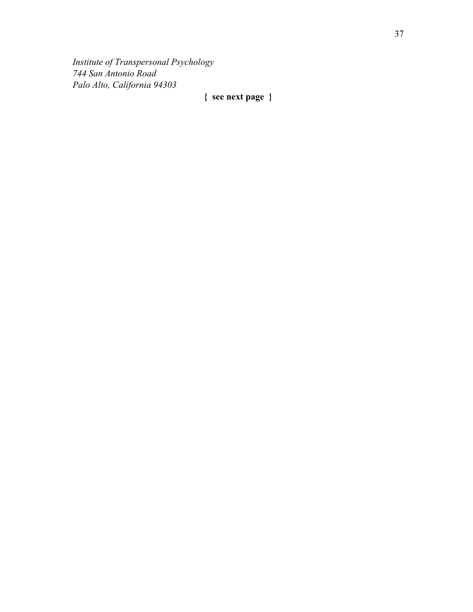*Institute of Transpersonal Psychology 744 San Antonio Road Palo Alto, California 94303*

## **{ see next page }**